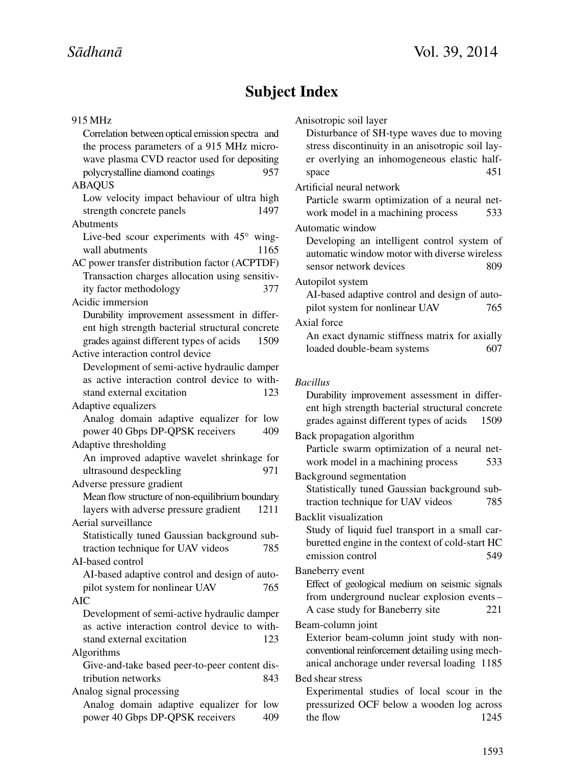# **Subject Index**

#### 915 MHz

Correlation between optical emission spectra and the process parameters of a 915 MHz microwave plasma CVD reactor used for depositing polycrystalline diamond coatings 957 ABAQUS Low velocity impact behaviour of ultra high strength concrete panels 1497 Abutments Live-bed scour experiments with 45◦ wingwall abutments 1165 AC power transfer distribution factor (ACPTDF) Transaction charges allocation using sensitivity factor methodology 377 Acidic immersion Durability improvement assessment in different high strength bacterial structural concrete grades against different types of acids 1509 Active interaction control device Development of semi-active hydraulic damper as active interaction control device to withstand external excitation 123 Adaptive equalizers Analog domain adaptive equalizer for low power 40 Gbps DP-QPSK receivers 409 Adaptive thresholding An improved adaptive wavelet shrinkage for ultrasound despeckling 971 Adverse pressure gradient Mean flow structure of non-equilibrium boundary layers with adverse pressure gradient 1211 Aerial surveillance Statistically tuned Gaussian background subtraction technique for UAV videos  $785$ AI-based control AI-based adaptive control and design of autopilot system for nonlinear UAV 765 AIC Development of semi-active hydraulic damper as active interaction control device to withstand external excitation 123 Algorithms Give-and-take based peer-to-peer content distribution networks 843 Analog signal processing Analog domain adaptive equalizer for low power 40 Gbps DP-OPSK receivers 409 the flow 1245

Anisotropic soil layer Disturbance of SH-type waves due to moving stress discontinuity in an anisotropic soil layer overlying an inhomogeneous elastic halfspace 451 Artificial neural network Particle swarm optimization of a neural network model in a machining process 533 Automatic window Developing an intelligent control system of automatic window motor with diverse wireless sensor network devices 809 Autopilot system AI-based adaptive control and design of autopilot system for nonlinear UAV 765 Axial force An exact dynamic stiffness matrix for axially loaded double-beam systems 607 *Bacillus* Durability improvement assessment in different high strength bacterial structural concrete grades against different types of acids 1509 Back propagation algorithm Particle swarm optimization of a neural network model in a machining process 533 Background segmentation Statistically tuned Gaussian background subtraction technique for UAV videos  $785$ Backlit visualization Study of liquid fuel transport in a small carburetted engine in the context of cold-start HC emission control 549 Baneberry event Effect of geological medium on seismic signals from underground nuclear explosion events – A case study for Baneberry site 221 Beam-column joint Exterior beam-column joint study with nonconventional reinforcement detailing using mechanical anchorage under reversal loading 1185 Bed shear stress Experimental studies of local scour in the pressurized OCF below a wooden log across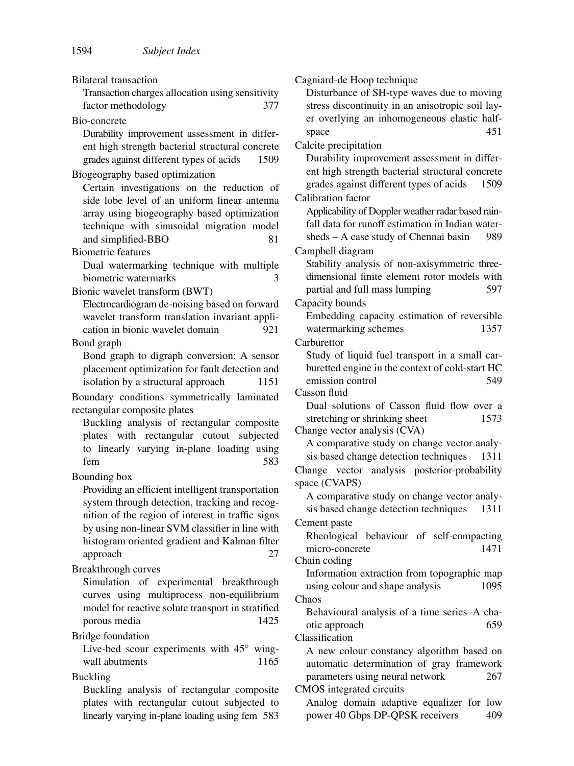Bilateral transaction

Transaction charges allocation using sensitivity factor methodology 377

Bio-concrete

Durability improvement assessment in different high strength bacterial structural concrete grades against different types of acids 1509

Biogeography based optimization

Certain investigations on the reduction of side lobe level of an uniform linear antenna array using biogeography based optimization technique with sinusoidal migration model and simplified-BBO 81

Biometric features

Dual watermarking technique with multiple biometric watermarks 3

Bionic wavelet transform (BWT)

Electrocardiogram de-noising based on forward wavelet transform translation invariant application in bionic wavelet domain 921 Bond graph

Bond graph to digraph conversion: A sensor placement optimization for fault detection and isolation by a structural approach 1151

Boundary conditions symmetrically laminated rectangular composite plates

Buckling analysis of rectangular composite plates with rectangular cutout subjected to linearly varying in-plane loading using fem 583

Bounding box

Providing an efficient intelligent transportation system through detection, tracking and recognition of the region of interest in traffic signs by using non-linear SVM classifier in line with histogram oriented gradient and Kalman filter approach 27

Breakthrough curves

Simulation of experimental breakthrough curves using multiprocess non-equilibrium model for reactive solute transport in stratified porous media 1425

Bridge foundation

Live-bed scour experiments with 45◦ wingwall abutments 1165

Buckling

Buckling analysis of rectangular composite plates with rectangular cutout subjected to linearly varying in-plane loading using fem 583 Cagniard-de Hoop technique Disturbance of SH-type waves due to moving stress discontinuity in an anisotropic soil layer overlying an inhomogeneous elastic halfspace 451 Calcite precipitation Durability improvement assessment in different high strength bacterial structural concrete grades against different types of acids 1509 Calibration factor Applicability of Doppler weather radar based rainfall data for runoff estimation in Indian watersheds – A case study of Chennai basin 989 Campbell diagram Stability analysis of non-axisymmetric threedimensional finite element rotor models with partial and full mass lumping 597 Capacity bounds Embedding capacity estimation of reversible watermarking schemes 1357 **Carburettor** Study of liquid fuel transport in a small carburetted engine in the context of cold-start HC emission control 549 Casson fluid Dual solutions of Casson fluid flow over a stretching or shrinking sheet 1573 Change vector analysis (CVA) A comparative study on change vector analysis based change detection techniques 1311 Change vector analysis posterior-probability space (CVAPS) A comparative study on change vector analysis based change detection techniques 1311 Cement paste Rheological behaviour of self-compacting micro-concrete 1471 Chain coding Information extraction from topographic map using colour and shape analysis 1095 Chaos Behavioural analysis of a time series–A chaotic approach 659 Classification A new colour constancy algorithm based on automatic determination of gray framework parameters using neural network 267 CMOS integrated circuits Analog domain adaptive equalizer for low power 40 Gbps DP-QPSK receivers 409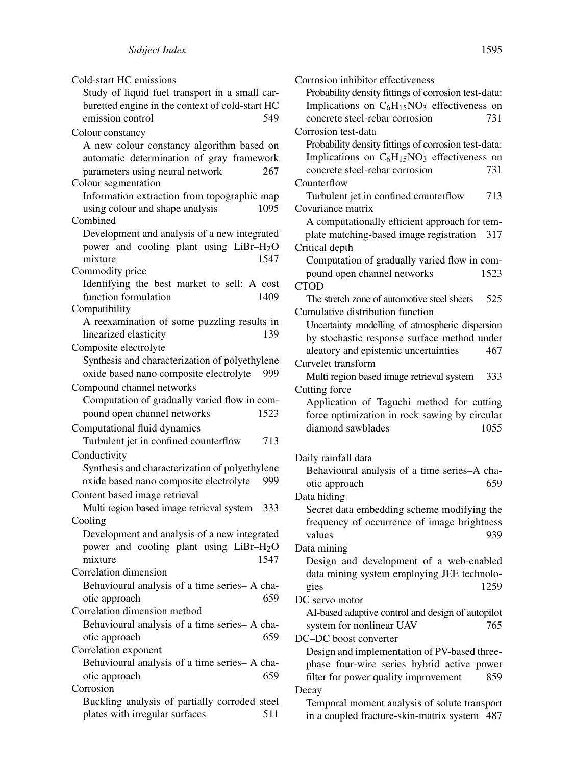Cold-start HC emissions

Study of liquid fuel transport in a small carburetted engine in the context of cold-start HC emission control 549 Colour constancy A new colour constancy algorithm based on automatic determination of gray framework parameters using neural network 267 Colour segmentation Information extraction from topographic map using colour and shape analysis 1095 Combined Development and analysis of a new integrated power and cooling plant using LiBr-H<sub>2</sub>O<br>mixture 1547 mixture Commodity price Identifying the best market to sell: A cost function formulation 1409 Compatibility A reexamination of some puzzling results in linearized elasticity 139 Composite electrolyte Synthesis and characterization of polyethylene oxide based nano composite electrolyte 999 Compound channel networks Computation of gradually varied flow in compound open channel networks 1523 Computational fluid dynamics Turbulent jet in confined counterflow 713 Conductivity Synthesis and characterization of polyethylene oxide based nano composite electrolyte 999 Content based image retrieval Multi region based image retrieval system 333 Cooling Development and analysis of a new integrated power and cooling plant using  $LiBr-H<sub>2</sub>O$ mixture 1547 Correlation dimension Behavioural analysis of a time series– A chaotic approach 659 Correlation dimension method Behavioural analysis of a time series– A chaotic approach 659 Correlation exponent Behavioural analysis of a time series– A chaotic approach 659 Corrosion Buckling analysis of partially corroded steel plates with irregular surfaces 511

Corrosion inhibitor effectiveness Probability density fittings of corrosion test-data: Implications on  $C_6H_{15}NO_3$  effectiveness on<br>concrete steel-rebar corrosion 731 concrete steel-rebar corrosion Corrosion test-data Probability density fittings of corrosion test-data: Implications on  $C_6H_{15}NO_3$  effectiveness on concrete steel-rebar corrosion 731 concrete steel-rebar corrosion Counterflow Turbulent jet in confined counterflow 713 Covariance matrix A computationally efficient approach for template matching-based image registration 317 Critical depth Computation of gradually varied flow in compound open channel networks 1523 **CTOD** The stretch zone of automotive steel sheets 525 Cumulative distribution function Uncertainty modelling of atmospheric dispersion by stochastic response surface method under aleatory and epistemic uncertainties 467 Curvelet transform Multi region based image retrieval system 333 Cutting force Application of Taguchi method for cutting force optimization in rock sawing by circular diamond sawblades 1055 Daily rainfall data Behavioural analysis of a time series–A chaotic approach 659 Data hiding Secret data embedding scheme modifying the frequency of occurrence of image brightness values 939 Data mining Design and development of a web-enabled data mining system employing JEE technologies 1259 DC servo motor AI-based adaptive control and design of autopilot system for nonlinear UAV 765 DC–DC boost converter Design and implementation of PV-based threephase four-wire series hybrid active power filter for power quality improvement 859 Decay Temporal moment analysis of solute transport in a coupled fracture-skin-matrix system 487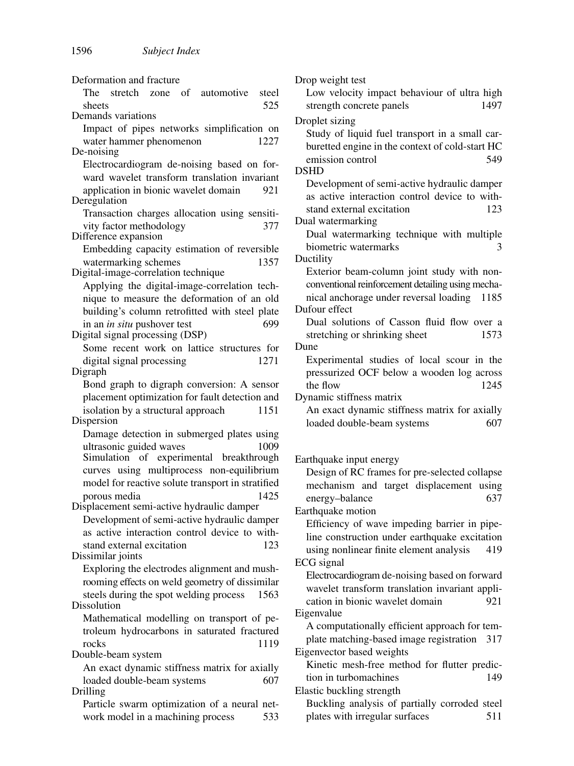Deformation and fracture The stretch zone of automotive steel sheets 525 Demands variations Impact of pipes networks simplification on water hammer phenomenon 1227 De-noising Electrocardiogram de-noising based on forward wavelet transform translation invariant application in bionic wavelet domain 921 Deregulation Transaction charges allocation using sensitivity factor methodology 377 Difference expansion Embedding capacity estimation of reversible watermarking schemes 1357 Digital-image-correlation technique Applying the digital-image-correlation technique to measure the deformation of an old building's column retrofitted with steel plate in an *in situ* pushover test 699 Digital signal processing (DSP) Some recent work on lattice structures for digital signal processing 1271 Digraph Bond graph to digraph conversion: A sensor placement optimization for fault detection and isolation by a structural approach 1151 Dispersion Damage detection in submerged plates using ultrasonic guided waves 1009 Simulation of experimental breakthrough curves using multiprocess non-equilibrium model for reactive solute transport in stratified porous media 1425 Displacement semi-active hydraulic damper Development of semi-active hydraulic damper as active interaction control device to withstand external excitation 123 Dissimilar joints Exploring the electrodes alignment and mushrooming effects on weld geometry of dissimilar steels during the spot welding process 1563 Dissolution Mathematical modelling on transport of petroleum hydrocarbons in saturated fractured rocks 1119 Double-beam system An exact dynamic stiffness matrix for axially loaded double-beam systems 607 Drilling Particle swarm optimization of a neural network model in a machining process 533

Drop weight test Low velocity impact behaviour of ultra high strength concrete panels 1497 Droplet sizing Study of liquid fuel transport in a small carburetted engine in the context of cold-start HC emission control 549 DSHD Development of semi-active hydraulic damper as active interaction control device to withstand external excitation 123 Dual watermarking Dual watermarking technique with multiple biometric watermarks 3 Ductility Exterior beam-column joint study with nonconventional reinforcement detailing using mechanical anchorage under reversal loading 1185 Dufour effect Dual solutions of Casson fluid flow over a stretching or shrinking sheet 1573 Dune Experimental studies of local scour in the pressurized OCF below a wooden log across the flow 1245 Dynamic stiffness matrix An exact dynamic stiffness matrix for axially loaded double-beam systems 607 Earthquake input energy Design of RC frames for pre-selected collapse mechanism and target displacement using energy–balance 637 Earthquake motion Efficiency of wave impeding barrier in pipeline construction under earthquake excitation using nonlinear finite element analysis 419 ECG signal Electrocardiogram de-noising based on forward wavelet transform translation invariant application in bionic wavelet domain 921 Eigenvalue A computationally efficient approach for template matching-based image registration 317 Eigenvector based weights Kinetic mesh-free method for flutter prediction in turbomachines 149 Elastic buckling strength Buckling analysis of partially corroded steel plates with irregular surfaces 511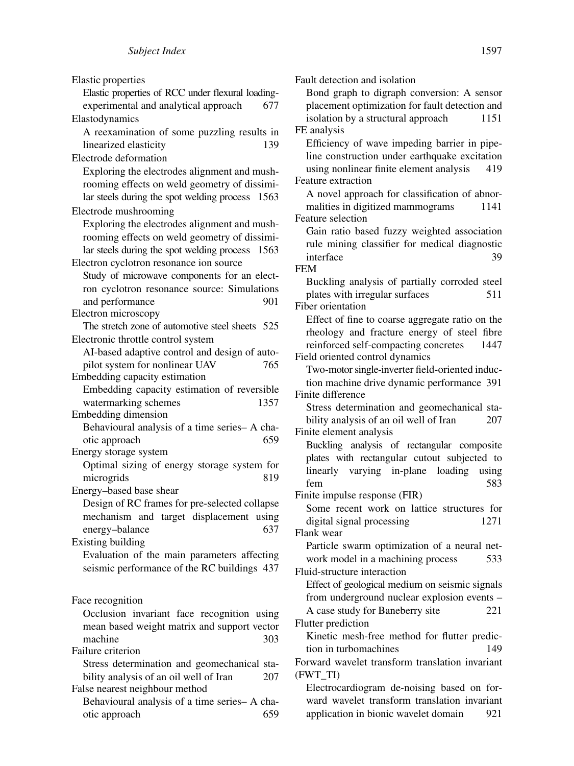Elastic properties Elastic properties of RCC under flexural loadingexperimental and analytical approach 677 Elastodynamics A reexamination of some puzzling results in linearized elasticity 139 Electrode deformation Exploring the electrodes alignment and mushrooming effects on weld geometry of dissimilar steels during the spot welding process 1563 Electrode mushrooming Exploring the electrodes alignment and mushrooming effects on weld geometry of dissimilar steels during the spot welding process 1563 Electron cyclotron resonance ion source Study of microwave components for an electron cyclotron resonance source: Simulations and performance 901 Electron microscopy The stretch zone of automotive steel sheets 525 Electronic throttle control system AI-based adaptive control and design of autopilot system for nonlinear UAV 765 Embedding capacity estimation Embedding capacity estimation of reversible watermarking schemes 1357 Embedding dimension Behavioural analysis of a time series– A chaotic approach 659 Energy storage system Optimal sizing of energy storage system for microgrids 819 Energy–based base shear Design of RC frames for pre-selected collapse mechanism and target displacement using energy–balance 637 Existing building Evaluation of the main parameters affecting seismic performance of the RC buildings 437 Face recognition Occlusion invariant face recognition using mean based weight matrix and support vector machine 303 Failure criterion Stress determination and geomechanical stability analysis of an oil well of Iran 207 False nearest neighbour method Behavioural analysis of a time series– A chaotic approach 659

Fault detection and isolation Bond graph to digraph conversion: A sensor placement optimization for fault detection and isolation by a structural approach 1151 FE analysis Efficiency of wave impeding barrier in pipeline construction under earthquake excitation using nonlinear finite element analysis 419 Feature extraction A novel approach for classification of abnormalities in digitized mammograms 1141 Feature selection Gain ratio based fuzzy weighted association rule mining classifier for medical diagnostic interface 39 FEM Buckling analysis of partially corroded steel plates with irregular surfaces 511 Fiber orientation Effect of fine to coarse aggregate ratio on the rheology and fracture energy of steel fibre reinforced self-compacting concretes 1447 Field oriented control dynamics Two-motor single-inverter field-oriented induction machine drive dynamic performance 391 Finite difference Stress determination and geomechanical stability analysis of an oil well of Iran 207 Finite element analysis Buckling analysis of rectangular composite plates with rectangular cutout subjected to linearly varying in-plane loading using fem 583 Finite impulse response (FIR) Some recent work on lattice structures for digital signal processing 1271 Flank wear Particle swarm optimization of a neural network model in a machining process 533 Fluid-structure interaction Effect of geological medium on seismic signals from underground nuclear explosion events – A case study for Baneberry site 221 Flutter prediction Kinetic mesh-free method for flutter prediction in turbomachines 149 Forward wavelet transform translation invariant (FWT\_TI) Electrocardiogram de-noising based on forward wavelet transform translation invariant

application in bionic wavelet domain 921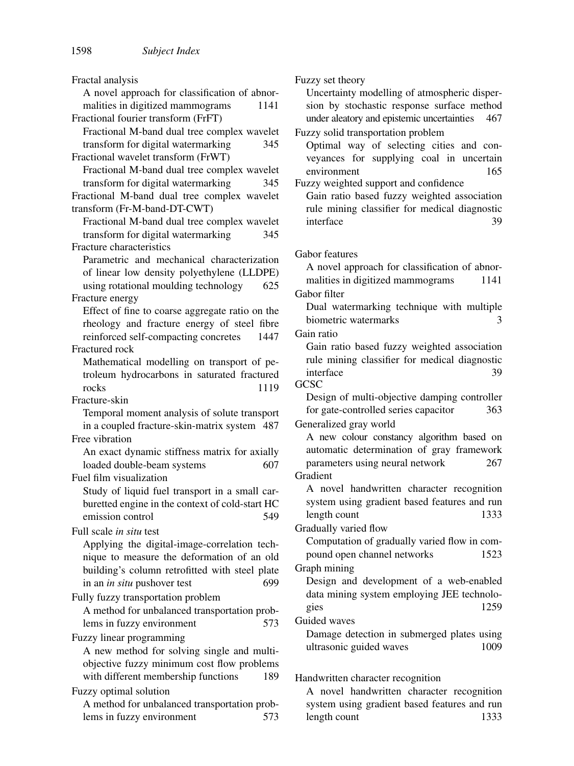Fractal analysis A novel approach for classification of abnormalities in digitized mammograms 1141 Fractional fourier transform (FrFT) Fractional M-band dual tree complex wavelet transform for digital watermarking 345 Fractional wavelet transform (FrWT) Fractional M-band dual tree complex wavelet transform for digital watermarking 345 Fractional M-band dual tree complex wavelet transform (Fr-M-band-DT-CWT) Fractional M-band dual tree complex wavelet transform for digital watermarking 345 Fracture characteristics Parametric and mechanical characterization of linear low density polyethylene (LLDPE) using rotational moulding technology 625 Fracture energy Effect of fine to coarse aggregate ratio on the rheology and fracture energy of steel fibre reinforced self-compacting concretes 1447 Fractured rock Mathematical modelling on transport of petroleum hydrocarbons in saturated fractured rocks 1119 Fracture-skin Temporal moment analysis of solute transport in a coupled fracture-skin-matrix system 487 Free vibration An exact dynamic stiffness matrix for axially loaded double-beam systems 607 Fuel film visualization Study of liquid fuel transport in a small carburetted engine in the context of cold-start HC emission control 549 Full scale *in situ* test Applying the digital-image-correlation technique to measure the deformation of an old building's column retrofitted with steel plate in an *in situ* pushover test 699 Fully fuzzy transportation problem A method for unbalanced transportation problems in fuzzy environment 573 Fuzzy linear programming A new method for solving single and multiobjective fuzzy minimum cost flow problems with different membership functions 189 Fuzzy optimal solution A method for unbalanced transportation problems in fuzzy environment 573 Fuzzy set theory

Uncertainty modelling of atmospheric dispersion by stochastic response surface method under aleatory and epistemic uncertainties 467

Fuzzy solid transportation problem

Optimal way of selecting cities and conveyances for supplying coal in uncertain environment 165 Fuzzy weighted support and confidence

Gain ratio based fuzzy weighted association rule mining classifier for medical diagnostic interface 39

Gabor features

A novel approach for classification of abnormalities in digitized mammograms 1141

Gabor filter

Dual watermarking technique with multiple biometric watermarks 3

Gain ratio

Gain ratio based fuzzy weighted association rule mining classifier for medical diagnostic interface 39

**GCSC** 

Design of multi-objective damping controller for gate-controlled series capacitor 363

Generalized gray world

A new colour constancy algorithm based on automatic determination of gray framework parameters using neural network 267 Gradient

A novel handwritten character recognition system using gradient based features and run length count 1333

Gradually varied flow

Computation of gradually varied flow in compound open channel networks 1523

Graph mining

Design and development of a web-enabled data mining system employing JEE technologies 1259

Guided waves

Damage detection in submerged plates using ultrasonic guided waves 1009

Handwritten character recognition

A novel handwritten character recognition system using gradient based features and run length count 1333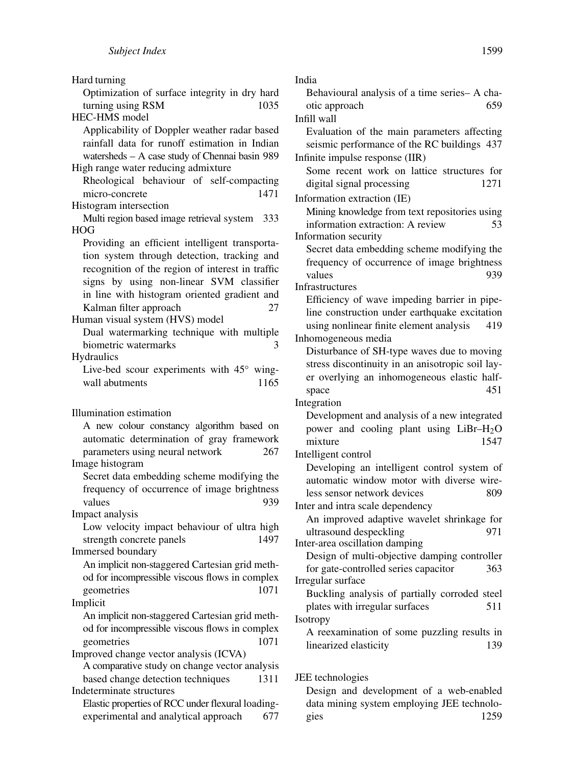Hard turning Optimization of surface integrity in dry hard turning using RSM 1035 HEC-HMS model Applicability of Doppler weather radar based rainfall data for runoff estimation in Indian watersheds – A case study of Chennai basin 989 High range water reducing admixture Rheological behaviour of self-compacting micro-concrete 1471 Histogram intersection Multi region based image retrieval system 333 HOG Providing an efficient intelligent transportation system through detection, tracking and recognition of the region of interest in traffic signs by using non-linear SVM classifier in line with histogram oriented gradient and Kalman filter approach 27 Human visual system (HVS) model Dual watermarking technique with multiple biometric watermarks 3 **Hydraulics** Live-bed scour experiments with 45◦ wingwall abutments 1165 Illumination estimation A new colour constancy algorithm based on automatic determination of gray framework parameters using neural network 267 Image histogram Secret data embedding scheme modifying the frequency of occurrence of image brightness values 939 Impact analysis Low velocity impact behaviour of ultra high strength concrete panels 1497 Immersed boundary An implicit non-staggered Cartesian grid method for incompressible viscous flows in complex geometries 1071 Implicit An implicit non-staggered Cartesian grid method for incompressible viscous flows in complex geometries 1071 Improved change vector analysis (ICVA) A comparative study on change vector analysis based change detection techniques 1311 Indeterminate structures Elastic properties of RCC under flexural loadingexperimental and analytical approach 677

India Behavioural analysis of a time series– A chaotic approach 659 Infill wall Evaluation of the main parameters affecting seismic performance of the RC buildings 437 Infinite impulse response (IIR) Some recent work on lattice structures for digital signal processing 1271 Information extraction (IE) Mining knowledge from text repositories using information extraction: A review 53 Information security Secret data embedding scheme modifying the frequency of occurrence of image brightness values 939 Infrastructures Efficiency of wave impeding barrier in pipeline construction under earthquake excitation using nonlinear finite element analysis 419 Inhomogeneous media Disturbance of SH-type waves due to moving stress discontinuity in an anisotropic soil layer overlying an inhomogeneous elastic halfspace 451 Integration Development and analysis of a new integrated power and cooling plant using  $LiBr-H<sub>2</sub>O$ mixture 1547 Intelligent control Developing an intelligent control system of automatic window motor with diverse wireless sensor network devices 809 Inter and intra scale dependency An improved adaptive wavelet shrinkage for ultrasound despeckling 971 Inter-area oscillation damping Design of multi-objective damping controller for gate-controlled series capacitor 363 Irregular surface Buckling analysis of partially corroded steel plates with irregular surfaces 511 Isotropy A reexamination of some puzzling results in linearized elasticity 139 JEE technologies

Design and development of a web-enabled data mining system employing JEE technologies 1259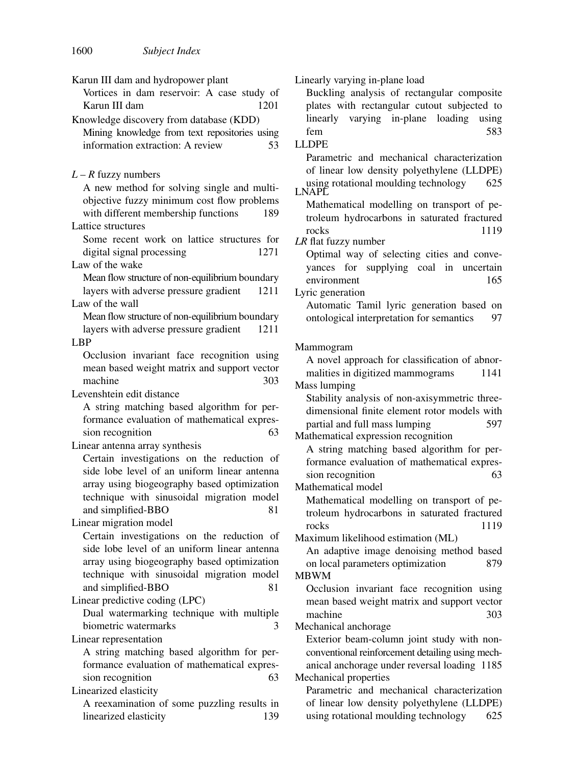Karun III dam and hydropower plant Vortices in dam reservoir: A case study of Karun III dam 1201 Knowledge discovery from database (KDD) Mining knowledge from text repositories using information extraction: A review 53 *L* – *R* fuzzy numbers A new method for solving single and multiobjective fuzzy minimum cost flow problems with different membership functions 189 Lattice structures Some recent work on lattice structures for digital signal processing 1271 Law of the wake Mean flow structure of non-equilibrium boundary layers with adverse pressure gradient 1211 Law of the wall Mean flow structure of non-equilibrium boundary layers with adverse pressure gradient 1211 LBP Occlusion invariant face recognition using mean based weight matrix and support vector machine 303 Levenshtein edit distance A string matching based algorithm for performance evaluation of mathematical expression recognition 63 Linear antenna array synthesis Certain investigations on the reduction of side lobe level of an uniform linear antenna array using biogeography based optimization technique with sinusoidal migration model and simplified-BBO 81 Linear migration model Certain investigations on the reduction of side lobe level of an uniform linear antenna array using biogeography based optimization technique with sinusoidal migration model and simplified-BBO 81 Linear predictive coding (LPC) Dual watermarking technique with multiple biometric watermarks 3 Linear representation A string matching based algorithm for performance evaluation of mathematical expression recognition 63 Linearized elasticity A reexamination of some puzzling results in linearized elasticity 139 Linearly varying in-plane load Buckling analysis of rectangular composite plates with rectangular cutout subjected to linearly varying in-plane loading using fem 583 LLDPE Parametric and mechanical characterization of linear low density polyethylene (LLDPE) using rotational moulding technology 625 LNAPL Mathematical modelling on transport of petroleum hydrocarbons in saturated fractured rocks 1119 *LR* flat fuzzy number Optimal way of selecting cities and conveyances for supplying coal in uncertain environment 165 Lyric generation Automatic Tamil lyric generation based on ontological interpretation for semantics 97 Mammogram A novel approach for classification of abnormalities in digitized mammograms 1141 Mass lumping Stability analysis of non-axisymmetric threedimensional finite element rotor models with partial and full mass lumping 597 Mathematical expression recognition A string matching based algorithm for performance evaluation of mathematical expression recognition 63 Mathematical model Mathematical modelling on transport of petroleum hydrocarbons in saturated fractured rocks 1119 Maximum likelihood estimation (ML) An adaptive image denoising method based on local parameters optimization 879 MBWM Occlusion invariant face recognition using mean based weight matrix and support vector machine 303 Mechanical anchorage Exterior beam-column joint study with nonconventional reinforcement detailing using mechanical anchorage under reversal loading 1185 Mechanical properties Parametric and mechanical characterization of linear low density polyethylene (LLDPE)

using rotational moulding technology 625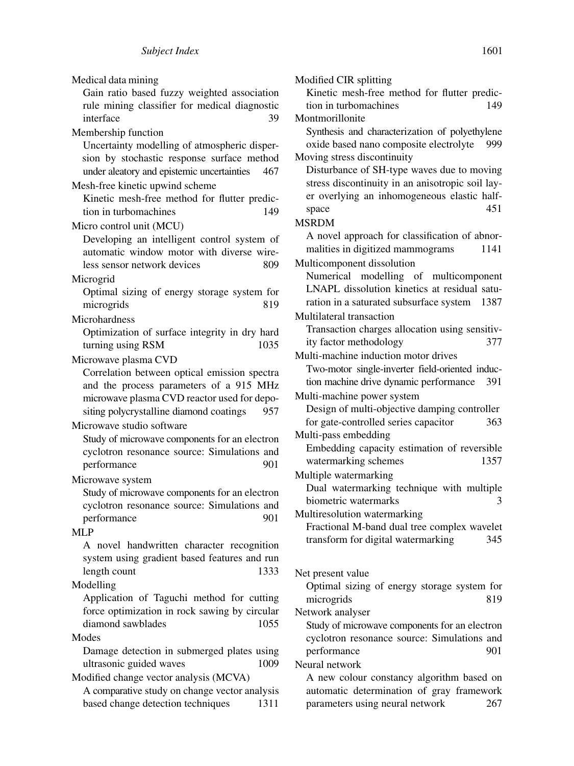| Medical data mining                                   | Modified CIR splitting                                            |
|-------------------------------------------------------|-------------------------------------------------------------------|
| Gain ratio based fuzzy weighted association           | Kinetic mesh-free method for flutter predic-                      |
| rule mining classifier for medical diagnostic         | 149<br>tion in turbomachines                                      |
| interface<br>39                                       | Montmorillonite                                                   |
| Membership function                                   | Synthesis and characterization of polyethylene                    |
| Uncertainty modelling of atmospheric disper-          | oxide based nano composite electrolyte<br>999                     |
| sion by stochastic response surface method            | Moving stress discontinuity                                       |
| under aleatory and epistemic uncertainties<br>467     | Disturbance of SH-type waves due to moving                        |
| Mesh-free kinetic upwind scheme                       | stress discontinuity in an anisotropic soil lay-                  |
| Kinetic mesh-free method for flutter predic-          | er overlying an inhomogeneous elastic half-                       |
| tion in turbomachines<br>149                          | 451<br>space                                                      |
| Micro control unit (MCU)                              | <b>MSRDM</b>                                                      |
| Developing an intelligent control system of           | A novel approach for classification of abnor-                     |
| automatic window motor with diverse wire-             | malities in digitized mammograms<br>1141                          |
| less sensor network devices<br>809                    | Multicomponent dissolution                                        |
| Microgrid                                             | Numerical modelling of multicomponent                             |
| Optimal sizing of energy storage system for           | LNAPL dissolution kinetics at residual satu-                      |
| microgrids<br>819                                     | 1387<br>ration in a saturated subsurface system                   |
|                                                       | Multilateral transaction                                          |
| Microhardness                                         | Transaction charges allocation using sensitiv-                    |
| Optimization of surface integrity in dry hard<br>1035 | ity factor methodology<br>377                                     |
| turning using RSM                                     | Multi-machine induction motor drives                              |
| Microwave plasma CVD                                  | Two-motor single-inverter field-oriented induc-                   |
| Correlation between optical emission spectra          | tion machine drive dynamic performance<br>391                     |
| and the process parameters of a 915 MHz               | Multi-machine power system                                        |
| microwave plasma CVD reactor used for depo-           | Design of multi-objective damping controller                      |
| siting polycrystalline diamond coatings<br>957        | for gate-controlled series capacitor<br>363                       |
| Microwave studio software                             | Multi-pass embedding                                              |
| Study of microwave components for an electron         | Embedding capacity estimation of reversible                       |
| cyclotron resonance source: Simulations and           | watermarking schemes<br>1357                                      |
| performance<br>901                                    |                                                                   |
| Microwave system                                      | Multiple watermarking                                             |
| Study of microwave components for an electron         | Dual watermarking technique with multiple<br>biometric watermarks |
| cyclotron resonance source: Simulations and           | Multiresolution watermarking                                      |
| 901<br>performance                                    | Fractional M-band dual tree complex wavelet                       |
| <b>MLP</b>                                            | 345                                                               |
| A novel handwritten character recognition             | transform for digital watermarking                                |
| system using gradient based features and run          |                                                                   |
| length count<br>1333                                  | Net present value                                                 |
| Modelling                                             | Optimal sizing of energy storage system for                       |
| Application of Taguchi method for cutting             | 819<br>microgrids                                                 |
| force optimization in rock sawing by circular         | Network analyser                                                  |
| diamond sawblades<br>1055                             | Study of microwave components for an electron                     |
| Modes                                                 | cyclotron resonance source: Simulations and                       |
| Damage detection in submerged plates using            | performance<br>901                                                |
| ultrasonic guided waves<br>1009                       | Neural network                                                    |
| Modified change vector analysis (MCVA)                | A new colour constancy algorithm based on                         |
| A comparative study on change vector analysis         | automatic determination of gray framework                         |
| based change detection techniques<br>1311             | parameters using neural network<br>267                            |
|                                                       |                                                                   |
|                                                       |                                                                   |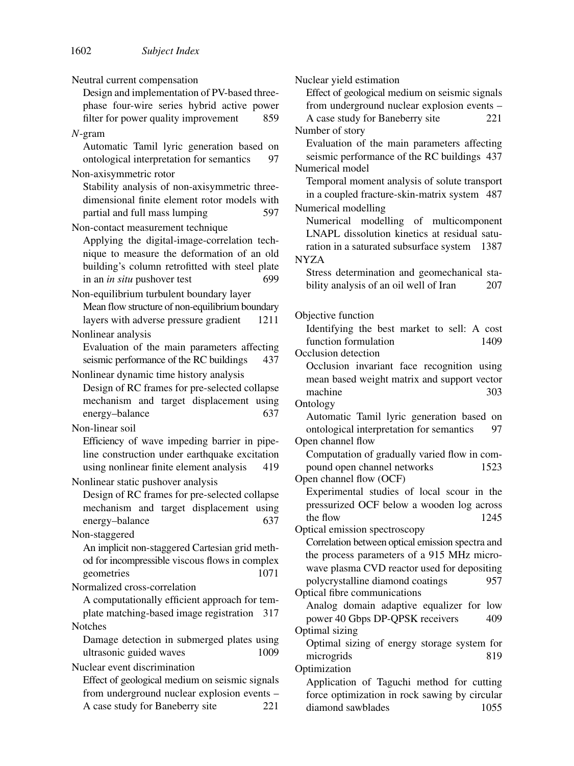Neutral current compensation Design and implementation of PV-based threephase four-wire series hybrid active power filter for power quality improvement 859 *N*-gram Automatic Tamil lyric generation based on ontological interpretation for semantics 97 Non-axisymmetric rotor Stability analysis of non-axisymmetric threedimensional finite element rotor models with partial and full mass lumping 597 Non-contact measurement technique Applying the digital-image-correlation technique to measure the deformation of an old building's column retrofitted with steel plate in an *in situ* pushover test 699 Non-equilibrium turbulent boundary layer Mean flow structure of non-equilibrium boundary layers with adverse pressure gradient 1211 Nonlinear analysis Evaluation of the main parameters affecting seismic performance of the RC buildings 437 Nonlinear dynamic time history analysis Design of RC frames for pre-selected collapse mechanism and target displacement using energy–balance 637 Non-linear soil Efficiency of wave impeding barrier in pipeline construction under earthquake excitation using nonlinear finite element analysis 419 Nonlinear static pushover analysis Design of RC frames for pre-selected collapse mechanism and target displacement using energy–balance 637 Non-staggered An implicit non-staggered Cartesian grid method for incompressible viscous flows in complex geometries 1071 Normalized cross-correlation A computationally efficient approach for template matching-based image registration 317 Notches Damage detection in submerged plates using ultrasonic guided waves 1009 Nuclear event discrimination Effect of geological medium on seismic signals from underground nuclear explosion events – A case study for Baneberry site 221

Nuclear yield estimation Effect of geological medium on seismic signals from underground nuclear explosion events – A case study for Baneberry site 221 Number of story Evaluation of the main parameters affecting seismic performance of the RC buildings 437 Numerical model Temporal moment analysis of solute transport in a coupled fracture-skin-matrix system 487 Numerical modelling Numerical modelling of multicomponent LNAPL dissolution kinetics at residual saturation in a saturated subsurface system 1387 NYZA Stress determination and geomechanical stability analysis of an oil well of Iran 207 Objective function Identifying the best market to sell: A cost function formulation 1409 Occlusion detection Occlusion invariant face recognition using mean based weight matrix and support vector machine 303 Ontology Automatic Tamil lyric generation based on ontological interpretation for semantics 97 Open channel flow Computation of gradually varied flow in compound open channel networks 1523 Open channel flow (OCF) Experimental studies of local scour in the pressurized OCF below a wooden log across the flow 1245 Optical emission spectroscopy Correlation between optical emission spectra and the process parameters of a 915 MHz microwave plasma CVD reactor used for depositing polycrystalline diamond coatings 957 Optical fibre communications Analog domain adaptive equalizer for low power 40 Gbps DP-QPSK receivers 409 Optimal sizing Optimal sizing of energy storage system for microgrids 819 Optimization Application of Taguchi method for cutting force optimization in rock sawing by circular diamond sawblades 1055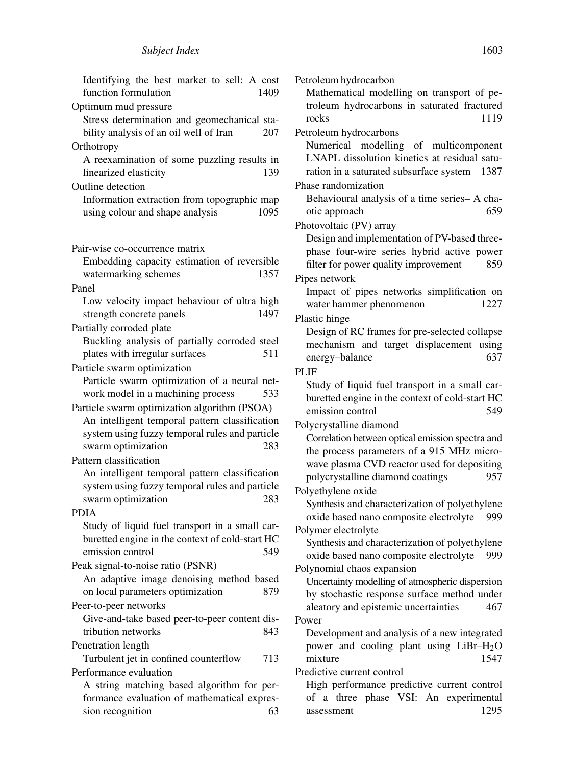| Identifying the best market to sell: A cost<br>function formulation<br>1409                  |  |  |
|----------------------------------------------------------------------------------------------|--|--|
| Optimum mud pressure                                                                         |  |  |
| Stress determination and geomechanical sta-<br>bility analysis of an oil well of Iran<br>207 |  |  |
| Orthotropy                                                                                   |  |  |
| A reexamination of some puzzling results in<br>linearized elasticity<br>139                  |  |  |
| Outline detection                                                                            |  |  |
| Information extraction from topographic map<br>using colour and shape analysis<br>1095       |  |  |
| Pair-wise co-occurrence matrix                                                               |  |  |
| Embedding capacity estimation of reversible                                                  |  |  |
| watermarking schemes<br>1357                                                                 |  |  |
| Panel                                                                                        |  |  |
| Low velocity impact behaviour of ultra high                                                  |  |  |
| 1497<br>strength concrete panels                                                             |  |  |
| Partially corroded plate                                                                     |  |  |
| Buckling analysis of partially corroded steel                                                |  |  |
| plates with irregular surfaces<br>511                                                        |  |  |
| Particle swarm optimization                                                                  |  |  |
| Particle swarm optimization of a neural net-                                                 |  |  |
| work model in a machining process<br>533                                                     |  |  |
| Particle swarm optimization algorithm (PSOA)                                                 |  |  |
| An intelligent temporal pattern classification                                               |  |  |
| system using fuzzy temporal rules and particle                                               |  |  |
| swarm optimization<br>283                                                                    |  |  |
| Pattern classification                                                                       |  |  |
| An intelligent temporal pattern classification                                               |  |  |
| system using fuzzy temporal rules and particle                                               |  |  |
| swarm optimization<br>283                                                                    |  |  |
| <b>PDIA</b>                                                                                  |  |  |
| Study of liquid fuel transport in a small car-                                               |  |  |
| buretted engine in the context of cold-start HC                                              |  |  |
| emission control<br>549                                                                      |  |  |
| Peak signal-to-noise ratio (PSNR)                                                            |  |  |
| An adaptive image denoising method based                                                     |  |  |
| 879<br>on local parameters optimization                                                      |  |  |
| Peer-to-peer networks                                                                        |  |  |
| Give-and-take based peer-to-peer content dis-                                                |  |  |
| 843<br>tribution networks                                                                    |  |  |
| Penetration length                                                                           |  |  |
| Turbulent jet in confined counterflow<br>713                                                 |  |  |
| Performance evaluation                                                                       |  |  |
| A string matching based algorithm for per-                                                   |  |  |
| formance evaluation of mathematical expres-                                                  |  |  |
| sion recognition<br>63                                                                       |  |  |

Petroleum hydrocarbon Mathematical modelling on transport of petroleum hydrocarbons in saturated fractured rocks 1119 Petroleum hydrocarbons Numerical modelling of multicomponent LNAPL dissolution kinetics at residual saturation in a saturated subsurface system 1387 Phase randomization Behavioural analysis of a time series– A chaotic approach 659 Photovoltaic (PV) array Design and implementation of PV-based threephase four-wire series hybrid active power filter for power quality improvement 859 Pipes network Impact of pipes networks simplification on water hammer phenomenon 1227 Plastic hinge Design of RC frames for pre-selected collapse mechanism and target displacement using energy–balance 637 PLIF Study of liquid fuel transport in a small carburetted engine in the context of cold-start HC emission control 549 Polycrystalline diamond Correlation between optical emission spectra and the process parameters of a 915 MHz microwave plasma CVD reactor used for depositing polycrystalline diamond coatings 957 Polyethylene oxide Synthesis and characterization of polyethylene oxide based nano composite electrolyte 999 Polymer electrolyte Synthesis and characterization of polyethylene oxide based nano composite electrolyte 999 Polynomial chaos expansion Uncertainty modelling of atmospheric dispersion by stochastic response surface method under aleatory and epistemic uncertainties 467 Power Development and analysis of a new integrated power and cooling plant using LiBr–H2O mixture 1547 Predictive current control High performance predictive current control of a three phase VSI: An experimental

assessment 1295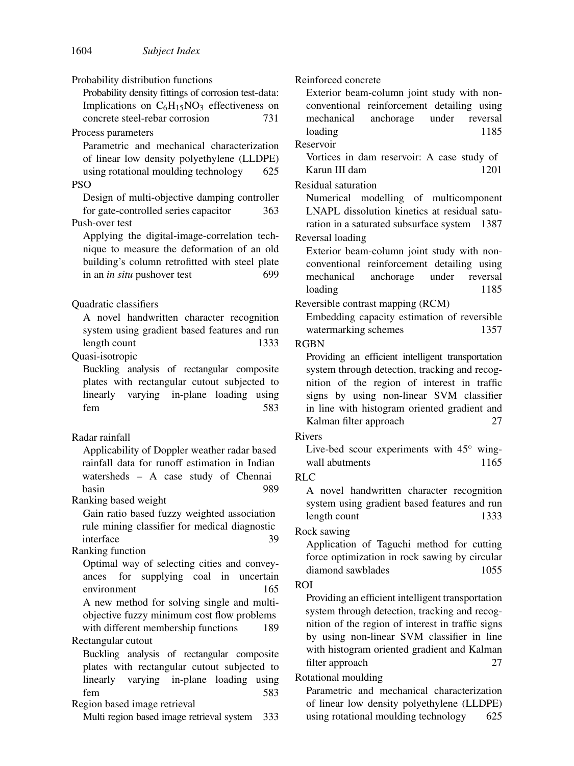Probability distribution functions

Probability density fittings of corrosion test-data: Implications on  $C_6H_{15}NO_3$  effectiveness on concrete steel-rebar corrosion 731 concrete steel-rebar corrosion

Process parameters

Parametric and mechanical characterization of linear low density polyethylene (LLDPE) using rotational moulding technology 625

**PSO** 

Design of multi-objective damping controller for gate-controlled series capacitor 363 Push-over test

Applying the digital-image-correlation technique to measure the deformation of an old building's column retrofitted with steel plate in an *in situ* pushover test 699

Quadratic classifiers

A novel handwritten character recognition system using gradient based features and run length count 1333

Quasi-isotropic

Buckling analysis of rectangular composite plates with rectangular cutout subjected to linearly varying in-plane loading using fem 583

#### Radar rainfall

Applicability of Doppler weather radar based rainfall data for runoff estimation in Indian watersheds – A case study of Chennai basin 989

Ranking based weight

Gain ratio based fuzzy weighted association rule mining classifier for medical diagnostic interface 39

#### Ranking function

Optimal way of selecting cities and conveyances for supplying coal in uncertain environment 165 A new method for solving single and multi-

objective fuzzy minimum cost flow problems with different membership functions 189 Rectangular cutout

Buckling analysis of rectangular composite plates with rectangular cutout subjected to linearly varying in-plane loading using fem 583

Region based image retrieval

Multi region based image retrieval system 333

Reinforced concrete

Exterior beam-column joint study with nonconventional reinforcement detailing using mechanical anchorage under reversal loading 1185

Reservoir

Vortices in dam reservoir: A case study of Karun III dam 1201

#### Residual saturation

Numerical modelling of multicomponent LNAPL dissolution kinetics at residual saturation in a saturated subsurface system 1387 Reversal loading

Exterior beam-column joint study with nonconventional reinforcement detailing using mechanical anchorage under reversal loading 1185

Reversible contrast mapping (RCM)

Embedding capacity estimation of reversible watermarking schemes 1357

#### RGBN

Providing an efficient intelligent transportation system through detection, tracking and recognition of the region of interest in traffic signs by using non-linear SVM classifier in line with histogram oriented gradient and Kalman filter approach 27

#### Rivers

Live-bed scour experiments with 45◦ wingwall abutments 1165

## RLC

A novel handwritten character recognition system using gradient based features and run length count 1333

#### Rock sawing

Application of Taguchi method for cutting force optimization in rock sawing by circular diamond sawblades 1055

#### ROI

Providing an efficient intelligent transportation system through detection, tracking and recognition of the region of interest in traffic signs by using non-linear SVM classifier in line with histogram oriented gradient and Kalman filter approach 27

### Rotational moulding

Parametric and mechanical characterization of linear low density polyethylene (LLDPE) using rotational moulding technology 625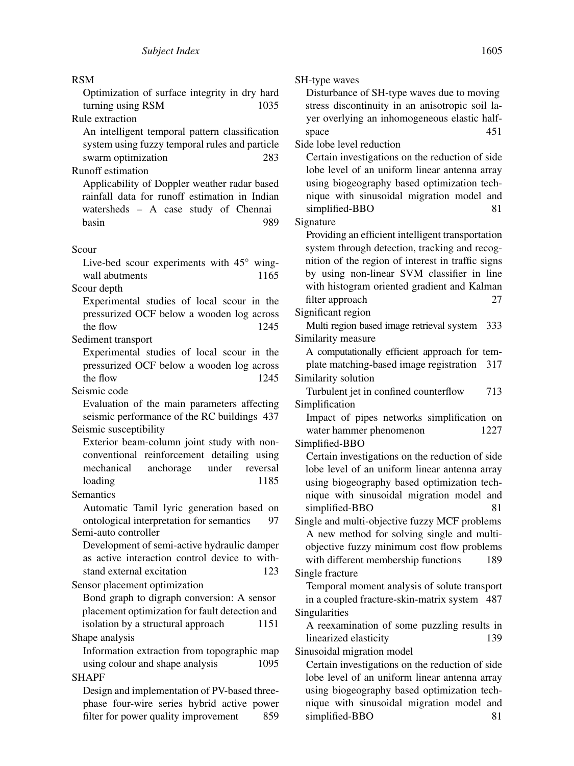#### RSM

Optimization of surface integrity in dry hard turning using RSM 1035

Rule extraction

An intelligent temporal pattern classification system using fuzzy temporal rules and particle swarm optimization 283

# Runoff estimation

Applicability of Doppler weather radar based rainfall data for runoff estimation in Indian watersheds – A case study of Chennai basin 989

#### Scour

Live-bed scour experiments with 45◦ wingwall abutments 1165

Scour depth

Experimental studies of local scour in the pressurized OCF below a wooden log across the flow 1245

Sediment transport Experimental studies of local scour in the pressurized OCF below a wooden log across the flow 1245

Seismic code

Evaluation of the main parameters affecting seismic performance of the RC buildings 437 Seismic susceptibility

Exterior beam-column joint study with nonconventional reinforcement detailing using mechanical anchorage under reversal loading 1185

Semantics

Automatic Tamil lyric generation based on ontological interpretation for semantics 97 Semi-auto controller

Development of semi-active hydraulic damper as active interaction control device to withstand external excitation 123

Sensor placement optimization

Bond graph to digraph conversion: A sensor placement optimization for fault detection and isolation by a structural approach 1151 Shape analysis

Information extraction from topographic map using colour and shape analysis 1095 **SHAPF** 

Design and implementation of PV-based threephase four-wire series hybrid active power filter for power quality improvement 859 SH-type waves

Disturbance of SH-type waves due to moving stress discontinuity in an anisotropic soil layer overlying an inhomogeneous elastic halfspace 451

Side lobe level reduction

Certain investigations on the reduction of side lobe level of an uniform linear antenna array using biogeography based optimization technique with sinusoidal migration model and simplified-BBO 81

Signature

Providing an efficient intelligent transportation system through detection, tracking and recognition of the region of interest in traffic signs by using non-linear SVM classifier in line with histogram oriented gradient and Kalman filter approach 27

Significant region

Multi region based image retrieval system 333 Similarity measure

A computationally efficient approach for template matching-based image registration 317

Similarity solution

Turbulent jet in confined counterflow 713 Simplification

Impact of pipes networks simplification on water hammer phenomenon 1227

Simplified-BBO

Certain investigations on the reduction of side lobe level of an uniform linear antenna array using biogeography based optimization technique with sinusoidal migration model and simplified-BBO 81

Single and multi-objective fuzzy MCF problems A new method for solving single and multiobjective fuzzy minimum cost flow problems with different membership functions 189 Single fracture

Temporal moment analysis of solute transport in a coupled fracture-skin-matrix system 487 Singularities

A reexamination of some puzzling results in linearized elasticity 139

Sinusoidal migration model

Certain investigations on the reduction of side lobe level of an uniform linear antenna array using biogeography based optimization technique with sinusoidal migration model and simplified-BBO 81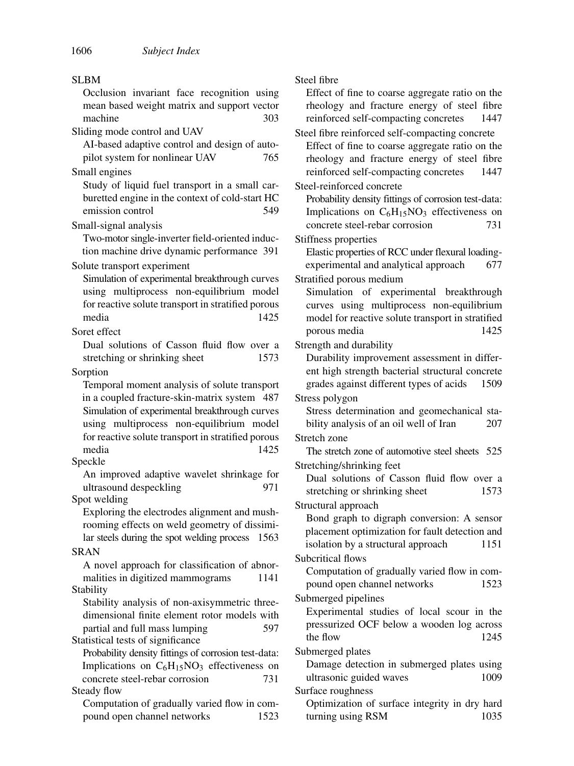| <b>SLBM</b>                                                                                                                                                                                      | Steel fibre                                                                                                                                                                                                          |
|--------------------------------------------------------------------------------------------------------------------------------------------------------------------------------------------------|----------------------------------------------------------------------------------------------------------------------------------------------------------------------------------------------------------------------|
| Occlusion invariant face recognition using<br>mean based weight matrix and support vector<br>machine<br>303                                                                                      | Effect of fine to coarse aggregate ratio on the<br>rheology and fracture energy of steel fibre<br>reinforced self-compacting concretes<br>1447                                                                       |
| Sliding mode control and UAV<br>AI-based adaptive control and design of auto-<br>pilot system for nonlinear UAV<br>765<br>Small engines                                                          | Steel fibre reinforced self-compacting concrete<br>Effect of fine to coarse aggregate ratio on the<br>rheology and fracture energy of steel fibre<br>reinforced self-compacting concretes<br>1447                    |
| Study of liquid fuel transport in a small car-<br>buretted engine in the context of cold-start HC<br>emission control<br>549                                                                     | Steel-reinforced concrete<br>Probability density fittings of corrosion test-data:<br>Implications on $C_6H_{15}NO_3$ effectiveness on                                                                                |
| Small-signal analysis<br>Two-motor single-inverter field-oriented induc-<br>tion machine drive dynamic performance 391                                                                           | concrete steel-rebar corrosion<br>731<br>Stiffness properties<br>Elastic properties of RCC under flexural loading-                                                                                                   |
| Solute transport experiment<br>Simulation of experimental breakthrough curves<br>using multiprocess non-equilibrium model<br>for reactive solute transport in stratified porous<br>media<br>1425 | experimental and analytical approach<br>677<br>Stratified porous medium<br>Simulation of experimental breakthrough<br>curves using multiprocess non-equilibrium<br>model for reactive solute transport in stratified |
| Soret effect<br>Dual solutions of Casson fluid flow over a                                                                                                                                       | 1425<br>porous media<br>Strength and durability                                                                                                                                                                      |
| stretching or shrinking sheet<br>1573<br>Sorption<br>Temporal moment analysis of solute transport<br>in a coupled fracture-skin-matrix system 487                                                | Durability improvement assessment in differ-<br>ent high strength bacterial structural concrete<br>grades against different types of acids<br>1509<br>Stress polygon                                                 |
| Simulation of experimental breakthrough curves<br>using multiprocess non-equilibrium model<br>for reactive solute transport in stratified porous                                                 | Stress determination and geomechanical sta-<br>bility analysis of an oil well of Iran<br>207<br>Stretch zone                                                                                                         |
| media<br>1425<br>Speckle                                                                                                                                                                         | The stretch zone of automotive steel sheets 525<br>Stretching/shrinking feet                                                                                                                                         |
| An improved adaptive wavelet shrinkage for<br>ultrasound despeckling<br>971<br>Spot welding                                                                                                      | Dual solutions of Casson fluid flow over a<br>1573<br>stretching or shrinking sheet                                                                                                                                  |
| Exploring the electrodes alignment and mush-<br>rooming effects on weld geometry of dissimi-<br>lar steels during the spot welding process 1563                                                  | Structural approach<br>Bond graph to digraph conversion: A sensor<br>placement optimization for fault detection and<br>isolation by a structural approach<br>1151                                                    |
| <b>SRAN</b><br>A novel approach for classification of abnor-<br>malities in digitized mammograms<br>1141                                                                                         | Subcritical flows<br>Computation of gradually varied flow in com-<br>pound open channel networks<br>1523                                                                                                             |
| Stability<br>Stability analysis of non-axisymmetric three-<br>dimensional finite element rotor models with<br>partial and full mass lumping<br>597<br>Statistical tests of significance          | Submerged pipelines<br>Experimental studies of local scour in the<br>pressurized OCF below a wooden log across<br>the flow<br>1245                                                                                   |
| Probability density fittings of corrosion test-data:<br>Implications on $C_6H_{15}NO_3$ effectiveness on<br>concrete steel-rebar corrosion<br>731<br>Steady flow                                 | Submerged plates<br>Damage detection in submerged plates using<br>ultrasonic guided waves<br>1009<br>Surface roughness                                                                                               |
| Computation of gradually varied flow in com-<br>pound open channel networks<br>1523                                                                                                              | Optimization of surface integrity in dry hard<br>turning using RSM<br>1035                                                                                                                                           |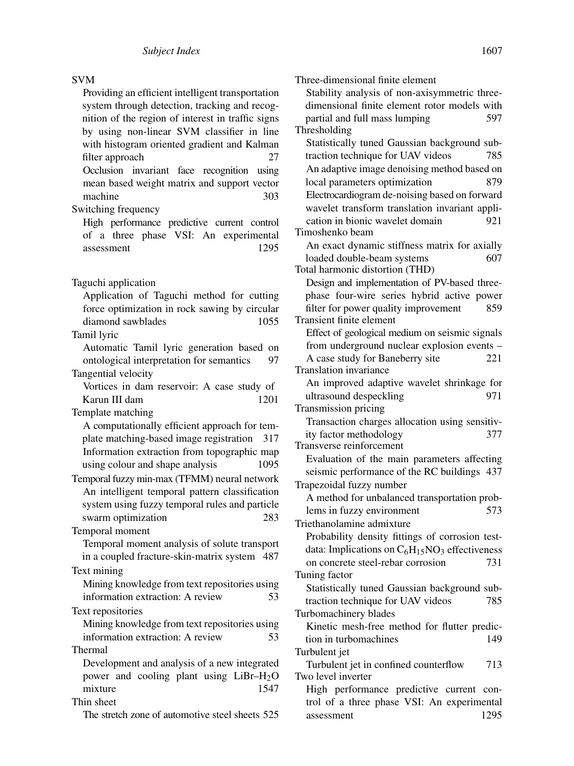#### SVM

Providing an efficient intelligent transportation system through detection, tracking and recognition of the region of interest in traffic signs by using non-linear SVM classifier in line with histogram oriented gradient and Kalman filter approach 27 Occlusion invariant face recognition using mean based weight matrix and support vector machine 303 Switching frequency

High performance predictive current control of a three phase VSI: An experimental assessment 1295

Application of Taguchi method for cutting force optimization in rock sawing by circular diamond sawblades 1055

Tamil lyric

Automatic Tamil lyric generation based on ontological interpretation for semantics 97 Tangential velocity Vortices in dam reservoir: A case study of

Karun III dam 1201

Template matching

A computationally efficient approach for template matching-based image registration 317 Information extraction from topographic map using colour and shape analysis 1095

Temporal fuzzy min-max (TFMM) neural network An intelligent temporal pattern classification system using fuzzy temporal rules and particle swarm optimization 283

Temporal moment Temporal moment analysis of solute transport in a coupled fracture-skin-matrix system 487

Text mining Mining knowledge from text repositories using information extraction: A review 53

Text repositories

Mining knowledge from text repositories using information extraction: A review 53 Thermal

Development and analysis of a new integrated power and cooling plant using  $LiBr-H<sub>2</sub>O$ mixture 1547

Thin sheet

The stretch zone of automotive steel sheets 525

Three-dimensional finite element Stability analysis of non-axisymmetric threedimensional finite element rotor models with partial and full mass lumping 597 Thresholding Statistically tuned Gaussian background subtraction technique for UAV videos 785 An adaptive image denoising method based on local parameters optimization 879 Electrocardiogram de-noising based on forward wavelet transform translation invariant application in bionic wavelet domain 921 Timoshenko beam An exact dynamic stiffness matrix for axially loaded double-beam systems 607 Total harmonic distortion (THD) Design and implementation of PV-based threephase four-wire series hybrid active power filter for power quality improvement 859 Transient finite element Effect of geological medium on seismic signals from underground nuclear explosion events – A case study for Baneberry site 221 Translation invariance An improved adaptive wavelet shrinkage for ultrasound despeckling 971 Transmission pricing Transaction charges allocation using sensitivity factor methodology 377 Transverse reinforcement Evaluation of the main parameters affecting seismic performance of the RC buildings 437 Trapezoidal fuzzy number A method for unbalanced transportation problems in fuzzy environment 573 Triethanolamine admixture Probability density fittings of corrosion testdata: Implications on  $C_6H_{15}NO_3$  effectiveness on concrete steel-rebar corrosion 731 Tuning factor Statistically tuned Gaussian background subtraction technique for UAV videos 785 Turbomachinery blades Kinetic mesh-free method for flutter prediction in turbomachines 149 Turbulent jet Turbulent jet in confined counterflow 713 Two level inverter

High performance predictive current control of a three phase VSI: An experimental assessment 1295

Taguchi application